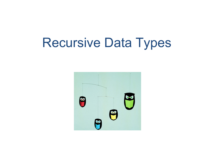### Recursive Data Types

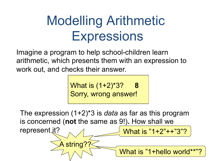# Modelling Arithmetic **Expressions**

Imagine a program to help school-children learn arithmetic, which presents them with an expression to work out, and checks their answer.

> What is (1+2)\*3? **8** Sorry, wrong answer!

The expression (1+2)\*3 is *data* as far as this program is concerned (**not** the same as 9!)**.** How shall we represent it? What is "1+2"++"3"?

A string??

What is "1+hello world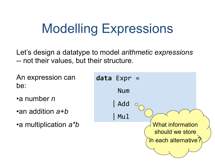## Modelling Expressions

Let's design a datatype to model *arithmetic expressions*  -- not their values, but their structure.

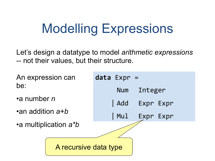## Modelling Expressions

Let's design a datatype to model *arithmetic expressions*  -- not their values, but their structure.

An expression can be:

•a number *n* 

•an addition *a+b*

•a multiplication *a\*b*



A recursive data type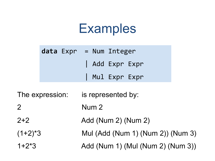### **Examples**

|                 |  | $data$ $Expr = Num$ Integer       |
|-----------------|--|-----------------------------------|
|                 |  | Add Expr Expr                     |
|                 |  | Mul Expr Expr                     |
| The expression: |  | is represented by:                |
| $\overline{2}$  |  | Num <sub>2</sub>                  |
| $2+2$           |  | Add (Num 2) (Num 2)               |
| $(1+2)^*3$      |  | Mul (Add (Num 1) (Num 2)) (Num 3) |
| $1+2*3$         |  | Add (Num 1) (Mul (Num 2) (Num 3)) |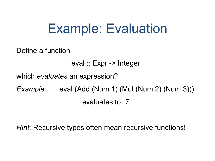### Example: Evaluation

Define a function

eval :: Expr -> Integer

which *evaluates* an expression?

*Example*: eval (Add (Num 1) (Mul (Num 2) (Num 3))) evaluates to 7

*Hint*: Recursive types often mean recursive functions!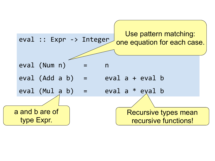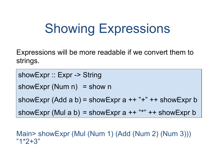## Showing Expressions

Expressions will be more readable if we convert them to strings.

showExpr :: Expr -> String

showExpr (Num  $n$ ) = show n

showExpr (Add a b) = showExpr a  $++$  " $+$ "  $++$  showExpr b

showExpr (Mul a b) = showExpr a  $++$  "\*"  $++$  showExpr b

Main> showExpr (Mul (Num 1) (Add (Num 2) (Num 3))) "1\*2+3"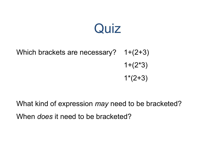#### **Quiz**

#### Which brackets are necessary? 1+(2+3)  $1+(2*3)$  $1*(2+3)$

What kind of expression *may* need to be bracketed? When *does* it need to be bracketed?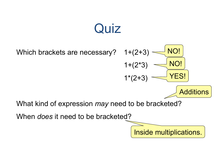### **Quiz**

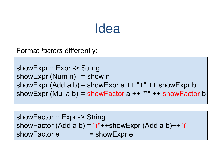#### Idea

Format *factors* differently:

showExpr :: Expr -> String showExpr (Num  $n$ ) = show n showExpr (Add a b) = showExpr a  $++$  " $+$ "  $++$  showExpr b showExpr (Mul a b) = showFactor  $a + +$  "\*"  $++$  showFactor b

showFactor :: Expr -> String showFactor (Add a b) = "("++showExpr (Add a b)++")" showFactor  $e =$  showExpr  $e$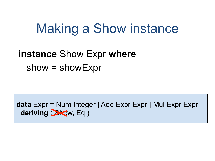#### Making a Show instance

#### **instance** Show Expr **where** show = showExpr

**data** Expr = Num Integer | Add Expr Expr | Mul Expr Expr deriving **(Sko**w, Eq )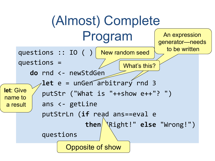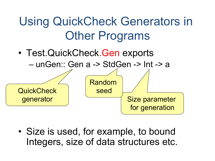

• Size is used, for example, to bound Integers, size of data structures etc.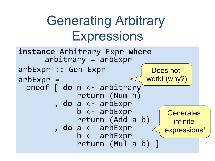# **Generating Arbitrary Expressions**

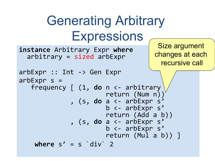```
Generating Arbitrary
               Expressions
                                         Size argument
instance Arbitrary Expr where
                                        changes at each
  arbitrary = sized arbExprrecursive call
arbExpr :: Int \rightarrow Gen ExprarbExpr s =frequency \begin{bmatrix} 1, & \text{do} & n <- \text{ arbitrary} \end{bmatrix}return (Num n)
               , (s, do a <- arbExpr s
                         b <- arbExpr s'
                         return (Add a b))
               , (s, do a <- arbExpr s'
                         b \leftarrow arbExpr s'
                         return (Mul a b))]
    where s' = s' div' 2
```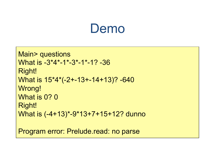#### Demo

```
Main> questions
What is -3*4*-1*-3*-1*-1? -36 
Right! 
What is 15*4*(-2+-13+-14+13)? -640 
Wrong! 
What is 0? 0
Right! 
What is (-4+13)*-9*13+7+15+12? dunno
```
Program error: Prelude.read: no parse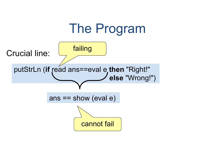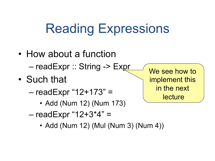## Reading Expressions

- How about a function – readExpr :: String -> Expr
- Such that
	- $-$  readExpr "12+173" =
		- Add (Num 12) (Num 173)
	- $-$  readExpr "12+3\*4" =
		- Add (Num 12) (Mul (Num 3) (Num 4))

We see how to implement this in the next **lecture**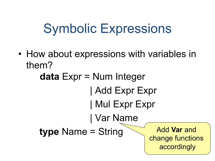## Symbolic Expressions

• How about expressions with variables in them?

**data** Expr = Num Integer | Add Expr Expr | Mul Expr Expr | Var Name **type** Name = String Add Var and change functions accordingly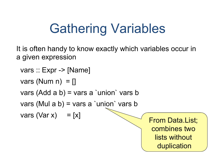# Gathering Variables

It is often handy to know exactly which variables occur in a given expression

```
 vars :: Expr -> [Name]
```

```
vars (Num n) = []
```

```
 vars (Add a b) = vars a `union` vars b
```

```
 vars (Mul a b) = vars a `union` vars b
```
vars (Var x) = [x]  $\sqrt{\frac{1}{2}}$  From Data.List;

combines two lists without duplication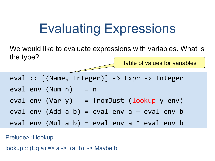### **Evaluating Expressions**

We would like to evaluate expressions with variables. What is the type?

Table of values for variables

eval ::  $[(Name, Integer)] \rightarrow Expr \rightarrow Interger]$  $eval env (Num n) = n$  $eval env (Var y) = fromJust (lookup y env)$ eval env (Add a b) =  $eval$  env a +  $eval$  env b eval env (Mul a b) = eval env a  $*$  eval env b

Prelude> :i lookup

lookup :: (Eq a) => a ->  $[(a, b)]$  -> Maybe b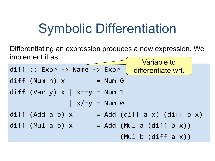### Symbolic Differentiation

Differentiating an expression produces a new expression. We implement it as:

diff :: Expr -> Name -> Expr | differentiate wrt.  $diff (Num n) x = Num 0$ diff (Var y)  $x$  |  $x=$ y = Num 1  $\int x/=y = Num$  0 diff (Add a b)  $x$  = Add (diff a x) (diff b x) diff (Mul a b)  $x =$  Add (Mul a (diff b  $x$ ))  $(Mu1 b (diff a x))$ Variable to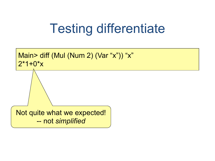## Testing differentiate

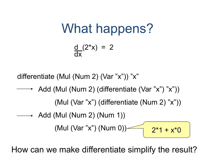What happens?

$$
\frac{d}{dx}(2^*x) = 2
$$

differentiate (Mul (Num 2) (Var "x")) "x"

→ Add (Mul (Num 2) (differentiate (Var "x") "x")) (Mul (Var "x") (differentiate (Num 2) "x"))

$$
- Add (Mul (Num 2) (Num 1))
$$
\n  
\n
$$
(Mul (Var "x") (Num 0))
$$
\n
$$
2*1 + x*0
$$

How can we make differentiate simplify the result?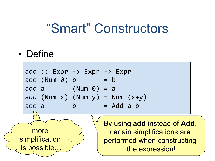#### "Smart" Constructors

• Define

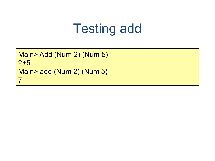### Testing add

Main> Add (Num 2) (Num 5) 2+5 Main> add (Num 2) (Num 5) 7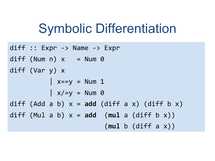### **Symbolic Differentiation**

```
diff :: Expr -> Name -> Exprdiff (Num n) x = Num \thetadiff (Var y) x\vert x==y = Num 1
           \int x/=y = Num \thetadiff (Add a b) x = add (diff a x) (diff b x)
diff (Mul a b) x = add (mul a (diff b x))
                         (mul b (diff a x))
```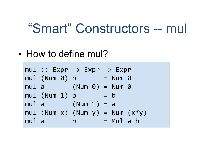#### "Smart" Constructors -- mul

• How to define mul?

```
mul :: Expr -> Expr -> Exprmu1 (Num 0) b = Num 0mu1 a (Num 0) = Num \thetamul (Num 1) b = bmul a (Num 1) = a
mul (Num x) (Num y) = Num (x*y)mul a b = Mul a b
```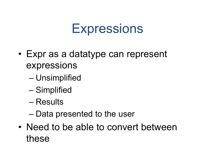#### **Expressions**

- Expr as a datatype can represent expressions
	- Unsimplified
	- Simplified
	- Results
	- Data presented to the user
- Need to be able to convert between these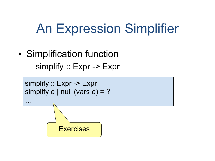### An Expression Simplifier

• Simplification function – simplify :: Expr -> Expr

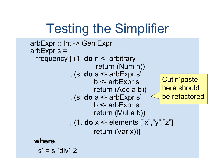## Testing the Simplifier

```
 arbExpr :: Int -> Gen Expr 
 arbExpr s = 
   frequency [ (1, do n <- arbitrary 
                        return (Num n)) 
               , (s, do a <- arbExpr s' 
                        b <- arbExpr s' 
                        return (Add a b)) 
               , (s, do a <- arbExpr s' 
                        b <- arbExpr s' 
                        return (Mul a b)) 
               , (1, do x <- elements ["x","y","z"] 
                        return (Var x))] 
  where 
  s' = s'div' 2
                                               Cut'n'paste
                                                here should 
                                                be refactored
```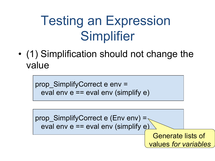# Testing an Expression **Simplifier**

• (1) Simplification should not change the value

prop\_SimplifyCorrect e env = eval env  $e == eval$  env (simplify  $e$ )

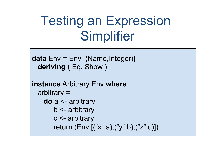## Testing an Expression Simplifier

```
data Env = Env [(Name,Integer)] 
   deriving ( Eq, Show ) 
instance Arbitrary Env where 
   arbitrary = 
     do a <- arbitrary 
        b <- arbitrary 
        c <- arbitrary 
        return (Env [("x",a),("y",b),("z",c)])
```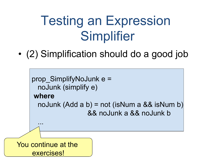## Testing an Expression Simplifier

• (2) Simplification should do a good job

```
prop_SimplifyNoJunk e =
       noJunk (simplify e) 
     where 
       noJunk (Add a b) = not (isNum a && isNum b) 
                       && noJunk a && noJunk b 
      ...
You continue at the 
     exercises!
```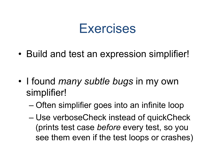#### Exercises

• Build and test an expression simplifier!

- I found *many subtle bugs* in my own simplifier!
	- Often simplifier goes into an infinite loop
	- Use verboseCheck instead of quickCheck (prints test case *before* every test, so you see them even if the test loops or crashes)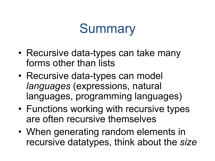### **Summary**

- Recursive data-types can take many forms other than lists
- Recursive data-types can model *languages* (expressions, natural languages, programming languages)
- Functions working with recursive types are often recursive themselves
- When generating random elements in recursive datatypes, think about the *size*